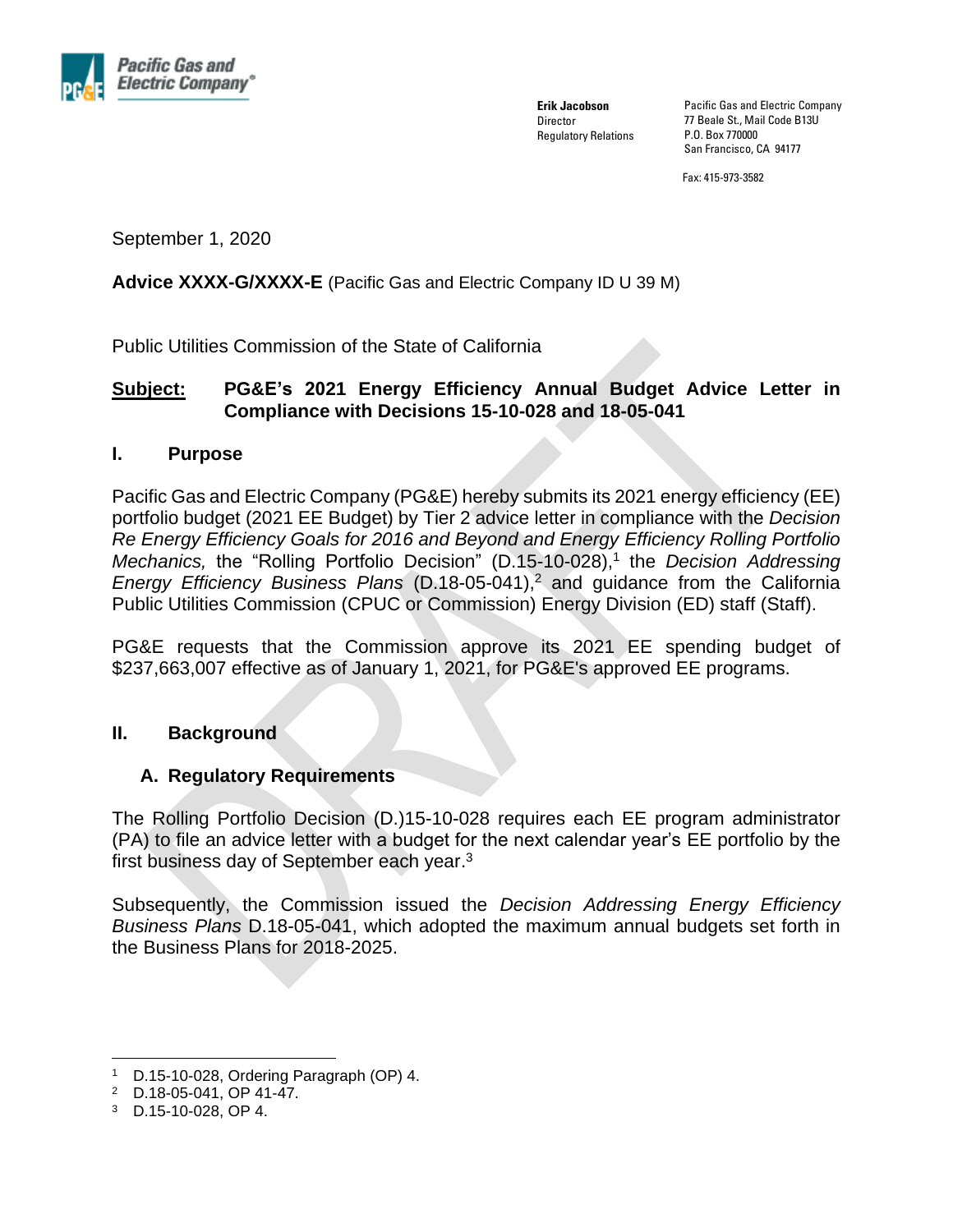

**Erik Jacobson Director** Regulatory Relations Pacific Gas and Electric Company 77 Beale St., Mail Code B13U P.O. Box 770000 San Francisco, CA 94177

Fax: 415-973-3582

September 1, 2020

**Advice XXXX-G/XXXX-E** (Pacific Gas and Electric Company ID U 39 M)

Public Utilities Commission of the State of California

# **Subject: PG&E's 2021 Energy Efficiency Annual Budget Advice Letter in Compliance with Decisions 15-10-028 and 18-05-041**

### **I. Purpose**

Pacific Gas and Electric Company (PG&E) hereby submits its 2021 energy efficiency (EE) portfolio budget (2021 EE Budget) by Tier 2 advice letter in compliance with the *Decision Re Energy Efficiency Goals for 2016 and Beyond and Energy Efficiency Rolling Portfolio Mechanics,* the "Rolling Portfolio Decision" (D.15-10-028), 1 the *Decision Addressing Energy Efficiency Business Plans* (D.18-05-041), <sup>2</sup> and guidance from the California Public Utilities Commission (CPUC or Commission) Energy Division (ED) staff (Staff).

PG&E requests that the Commission approve its 2021 EE spending budget of \$237,663,007 effective as of January 1, 2021, for PG&E's approved EE programs.

#### **II. Background**

## **A. Regulatory Requirements**

The Rolling Portfolio Decision (D.)15-10-028 requires each EE program administrator (PA) to file an advice letter with a budget for the next calendar year's EE portfolio by the first business day of September each year.<sup>3</sup>

Subsequently, the Commission issued the *Decision Addressing Energy Efficiency Business Plans* D.18-05-041, which adopted the maximum annual budgets set forth in the Business Plans for 2018-2025.

<sup>1</sup> D.15-10-028, Ordering Paragraph (OP) 4.

<sup>2</sup> D.18-05-041, OP 41-47.

<sup>3</sup> D.15-10-028, OP 4.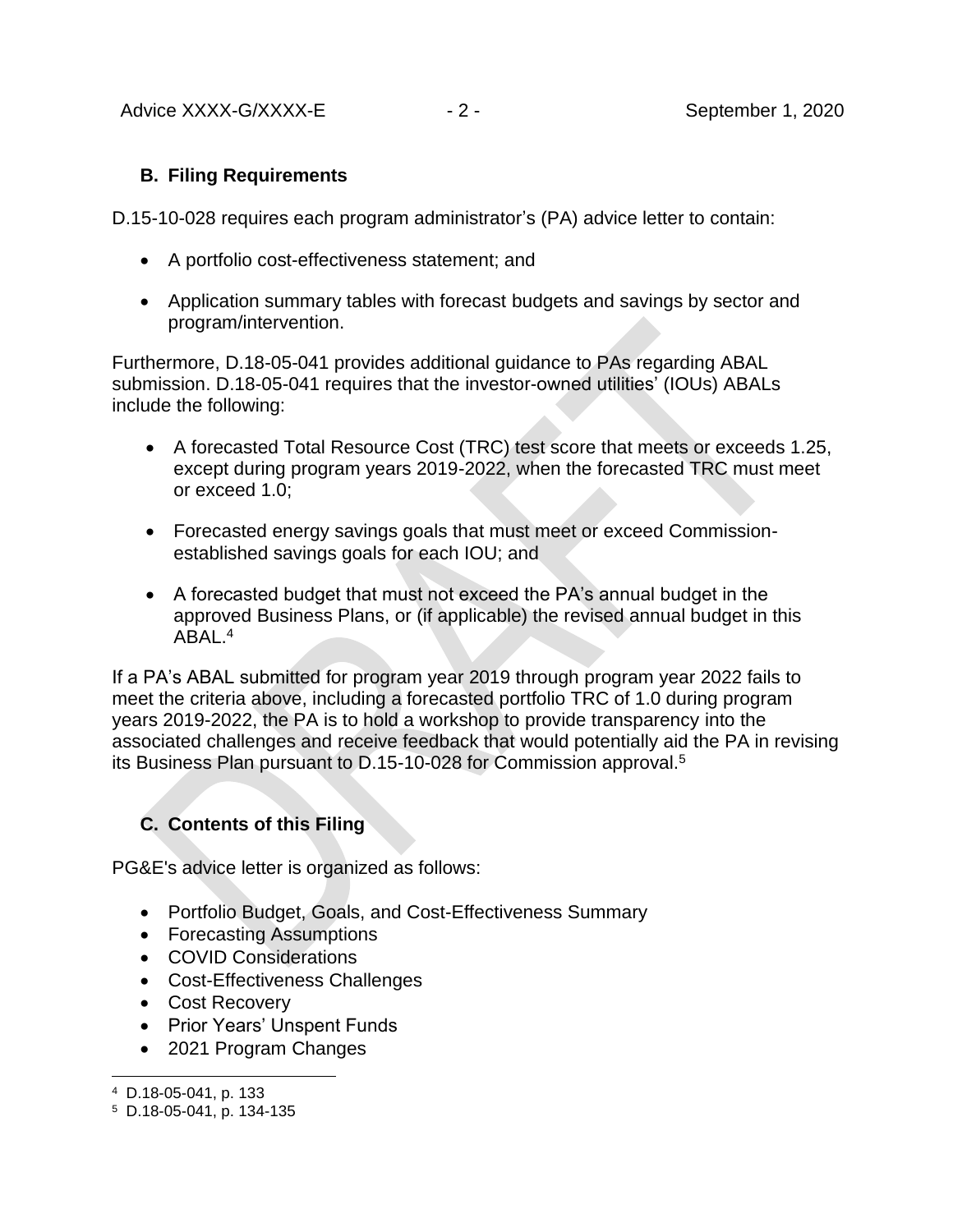# **B. Filing Requirements**

D.15-10-028 requires each program administrator's (PA) advice letter to contain:

- A portfolio cost-effectiveness statement; and
- Application summary tables with forecast budgets and savings by sector and program/intervention.

Furthermore, D.18-05-041 provides additional guidance to PAs regarding ABAL submission. D.18-05-041 requires that the investor-owned utilities' (IOUs) ABALs include the following:

- A forecasted Total Resource Cost (TRC) test score that meets or exceeds 1.25, except during program years 2019-2022, when the forecasted TRC must meet or exceed 1.0;
- Forecasted energy savings goals that must meet or exceed Commissionestablished savings goals for each IOU; and
- A forecasted budget that must not exceed the PA's annual budget in the approved Business Plans, or (if applicable) the revised annual budget in this ABAL.<sup>4</sup>

If a PA's ABAL submitted for program year 2019 through program year 2022 fails to meet the criteria above, including a forecasted portfolio TRC of 1.0 during program years 2019-2022, the PA is to hold a workshop to provide transparency into the associated challenges and receive feedback that would potentially aid the PA in revising its Business Plan pursuant to D.15-10-028 for Commission approval.<sup>5</sup>

# **C. Contents of this Filing**

PG&E's advice letter is organized as follows:

- Portfolio Budget, Goals, and Cost-Effectiveness Summary
- Forecasting Assumptions
- COVID Considerations
- Cost-Effectiveness Challenges
- Cost Recovery
- Prior Years' Unspent Funds
- 2021 Program Changes

<sup>4</sup> D.18-05-041, p. 133

<sup>5</sup> D.18-05-041, p. 134-135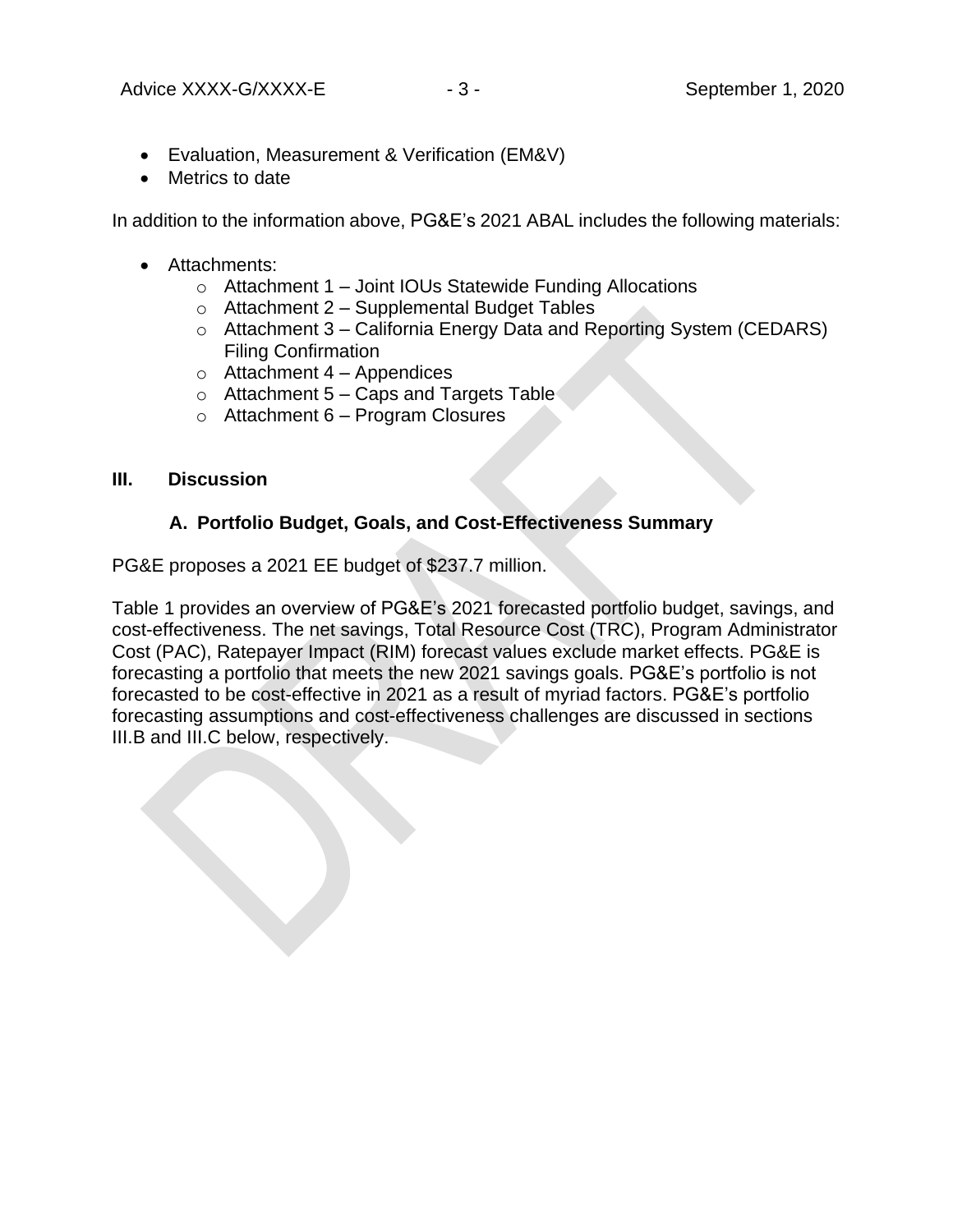- Evaluation, Measurement & Verification (EM&V)
- Metrics to date

In addition to the information above, PG&E's 2021 ABAL includes the following materials:

- Attachments:
	- o Attachment 1 Joint IOUs Statewide Funding Allocations
	- $\circ$  Attachment 2 Supplemental Budget Tables
	- o Attachment 3 California Energy Data and Reporting System (CEDARS) Filing Confirmation
	- $\circ$  Attachment 4 Appendices
	- $\circ$  Attachment 5 Caps and Targets Table
	- $\circ$  Attachment 6 Program Closures

### **III. Discussion**

# **A. Portfolio Budget, Goals, and Cost-Effectiveness Summary**

PG&E proposes a 2021 EE budget of \$237.7 million.

Table 1 provides an overview of PG&E's 2021 forecasted portfolio budget, savings, and cost-effectiveness. The net savings, Total Resource Cost (TRC), Program Administrator Cost (PAC), Ratepayer Impact (RIM) forecast values exclude market effects. PG&E is forecasting a portfolio that meets the new 2021 savings goals. PG&E's portfolio is not forecasted to be cost-effective in 2021 as a result of myriad factors. PG&E's portfolio forecasting assumptions and cost-effectiveness challenges are discussed in sections III.B and III.C below, respectively.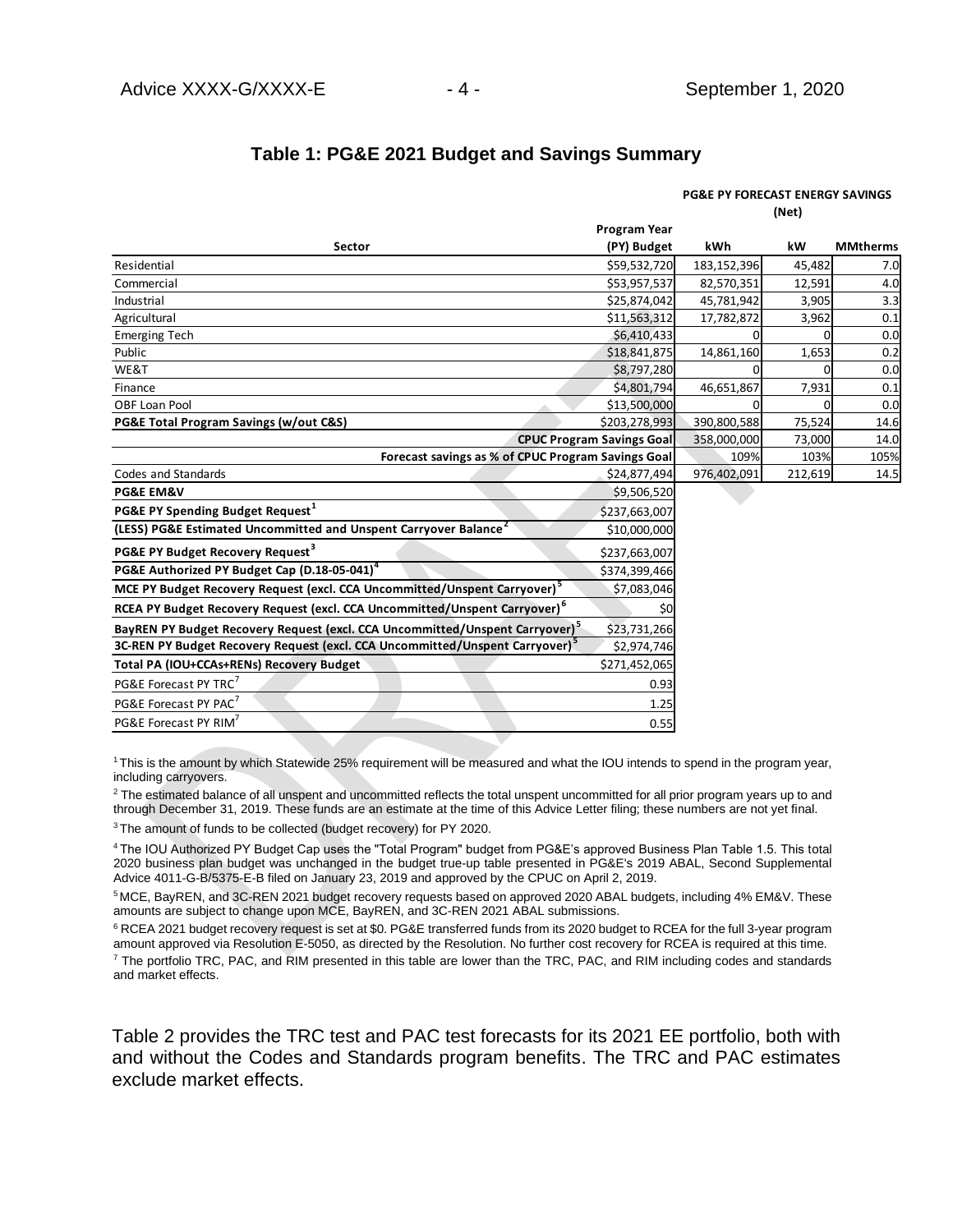### **Table 1: PG&E 2021 Budget and Savings Summary**

| Table 1: PG&E 2021 Budget and Savings Summary                                            |                                  |                                            |         |                 |  |
|------------------------------------------------------------------------------------------|----------------------------------|--------------------------------------------|---------|-----------------|--|
|                                                                                          |                                  | <b>PG&amp;E PY FORECAST ENERGY SAVINGS</b> |         |                 |  |
|                                                                                          |                                  | (Net)                                      |         |                 |  |
|                                                                                          | <b>Program Year</b>              |                                            |         |                 |  |
| Sector                                                                                   | (PY) Budget                      | kWh                                        | kW      | <b>MMtherms</b> |  |
| Residential                                                                              | \$59,532,720                     | 183,152,396                                | 45,482  | 7.0             |  |
| Commercial                                                                               | \$53,957,537                     | 82,570,351                                 | 12,591  | 4.0             |  |
| Industrial                                                                               | \$25,874,042                     | 45,781,942                                 | 3,905   | 3.3             |  |
| Agricultural                                                                             | \$11,563,312                     | 17,782,872                                 | 3,962   | 0.1             |  |
| <b>Emerging Tech</b>                                                                     | \$6,410,433                      |                                            |         | 0.0             |  |
| Public                                                                                   | \$18,841,875                     | 14,861,160                                 | 1,653   | 0.2             |  |
| WE&T                                                                                     | \$8,797,280                      |                                            | O       | 0.0             |  |
| Finance                                                                                  | \$4,801,794                      | 46,651,867                                 | 7,931   | 0.1             |  |
| <b>OBF Loan Pool</b>                                                                     | \$13,500,000                     |                                            | O       | 0.0             |  |
| PG&E Total Program Savings (w/out C&S)                                                   | \$203,278,993                    | 390,800,588                                | 75,524  | 14.6            |  |
|                                                                                          | <b>CPUC Program Savings Goal</b> | 358,000,000                                | 73,000  | 14.0            |  |
| Forecast savings as % of CPUC Program Savings Goal                                       |                                  | 109%                                       | 103%    | 105%            |  |
| Codes and Standards                                                                      | \$24,877,494                     | 976,402,091                                | 212,619 | 14.5            |  |
| <b>PG&amp;E EM&amp;V</b>                                                                 | \$9,506,520                      |                                            |         |                 |  |
| PG&E PY Spending Budget Request <sup>1</sup>                                             | \$237,663,007                    |                                            |         |                 |  |
| (LESS) PG&E Estimated Uncommitted and Unspent Carryover Balance <sup>2</sup>             | \$10,000,000                     |                                            |         |                 |  |
| PG&E PY Budget Recovery Request <sup>3</sup>                                             | \$237,663,007                    |                                            |         |                 |  |
| PG&E Authorized PY Budget Cap (D.18-05-041) <sup>4</sup>                                 | \$374,399,466                    |                                            |         |                 |  |
| MCE PY Budget Recovery Request (excl. CCA Uncommitted/Unspent Carryover) <sup>5</sup>    | \$7,083,046                      |                                            |         |                 |  |
| RCEA PY Budget Recovery Request (excl. CCA Uncommitted/Unspent Carryover) <sup>6</sup>   | \$0                              |                                            |         |                 |  |
| BayREN PY Budget Recovery Request (excl. CCA Uncommitted/Unspent Carryover) <sup>5</sup> | \$23,731,266                     |                                            |         |                 |  |
| 3C-REN PY Budget Recovery Request (excl. CCA Uncommitted/Unspent Carryover) <sup>5</sup> | \$2,974,746                      |                                            |         |                 |  |
| Total PA (IOU+CCAs+RENs) Recovery Budget                                                 | \$271,452,065                    |                                            |         |                 |  |
| PG&E Forecast PY TRC <sup>7</sup>                                                        | 0.93                             |                                            |         |                 |  |
| PG&E Forecast PY PAC'                                                                    | 1.25                             |                                            |         |                 |  |
| PG&E Forecast PY RIM                                                                     | 0.55                             |                                            |         |                 |  |

<sup>1</sup>This is the amount by which Statewide 25% requirement will be measured and what the IOU intends to spend in the program year, including carryovers.

<sup>2</sup> The estimated balance of all unspent and uncommitted reflects the total unspent uncommitted for all prior program years up to and through December 31, 2019. These funds are an estimate at the time of this Advice Letter filing; these numbers are not yet final.

<sup>3</sup> The amount of funds to be collected (budget recovery) for PY 2020.

<sup>4</sup>The IOU Authorized PY Budget Cap uses the "Total Program" budget from PG&E's approved Business Plan Table 1.5. This total 2020 business plan budget was unchanged in the budget true-up table presented in PG&E's 2019 ABAL, Second Supplemental Advice 4011-G-B/5375-E-B filed on January 23, 2019 and approved by the CPUC on April 2, 2019.

<sup>5</sup>MCE, BayREN, and 3C-REN 2021 budget recovery requests based on approved 2020 ABAL budgets, including 4% EM&V. These amounts are subject to change upon MCE, BayREN, and 3C-REN 2021 ABAL submissions.

<sup>6</sup> RCEA 2021 budget recovery request is set at \$0. PG&E transferred funds from its 2020 budget to RCEA for the full 3-year program amount approved via Resolution E-5050, as directed by the Resolution. No further cost recovery for RCEA is required at this time.  $7$  The portfolio TRC, PAC, and RIM presented in this table are lower than the TRC, PAC, and RIM including codes and standards and market effects.

Table 2 provides the TRC test and PAC test forecasts for its 2021 EE portfolio, both with and without the Codes and Standards program benefits. The TRC and PAC estimates exclude market effects.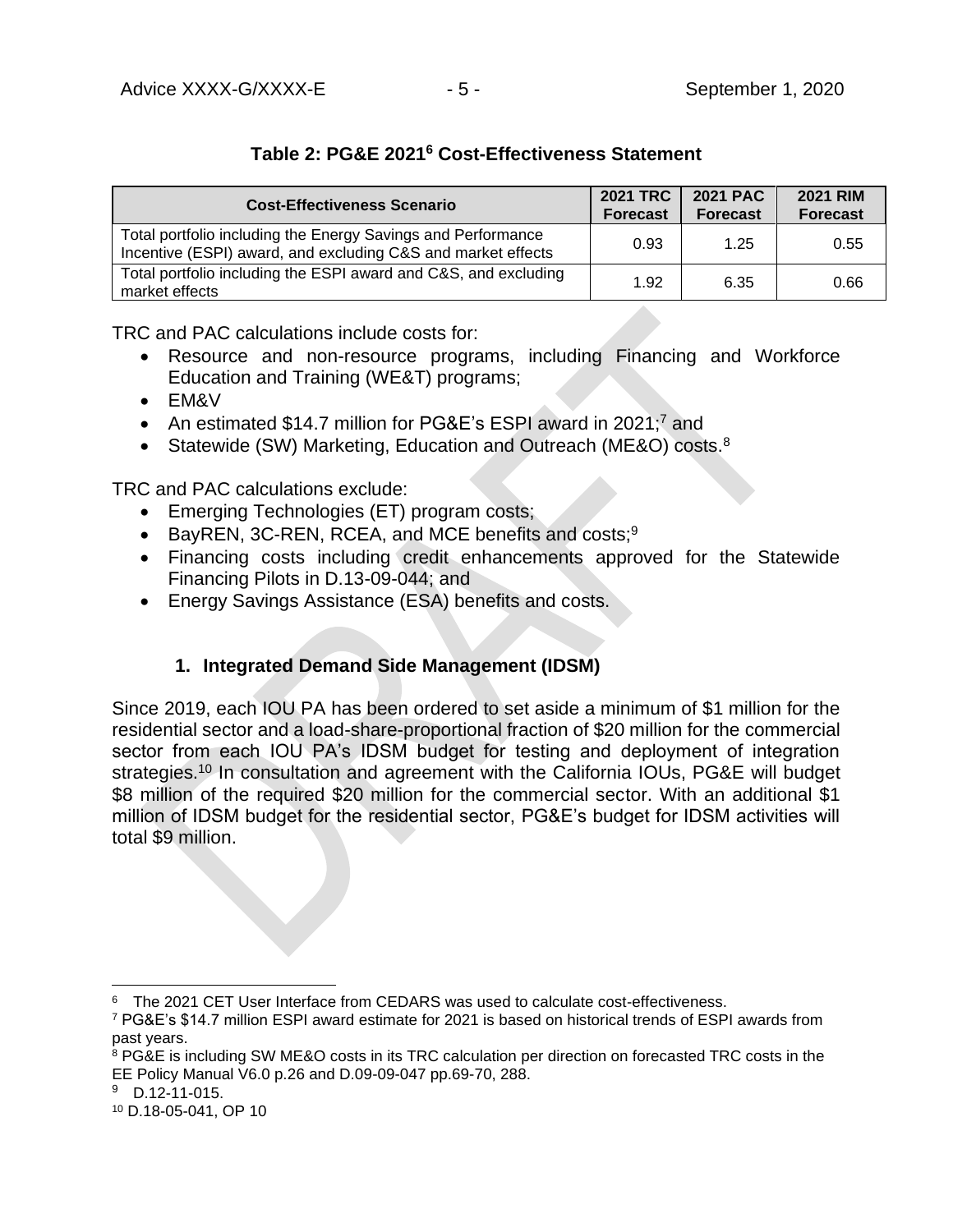# **Table 2: PG&E 2021<sup>6</sup> Cost-Effectiveness Statement**

| <b>Cost-Effectiveness Scenario</b>                                                                                           | <b>2021 TRC</b><br><b>Forecast</b> | <b>2021 PAC</b><br><b>Forecast</b> | <b>2021 RIM</b><br><b>Forecast</b> |
|------------------------------------------------------------------------------------------------------------------------------|------------------------------------|------------------------------------|------------------------------------|
| Total portfolio including the Energy Savings and Performance<br>Incentive (ESPI) award, and excluding C&S and market effects | 0.93                               | 1.25                               | 0.55                               |
| Total portfolio including the ESPI award and C&S, and excluding<br>market effects                                            | 1.92                               | 6.35                               | 0.66                               |

TRC and PAC calculations include costs for:

- Resource and non-resource programs, including Financing and Workforce Education and Training (WE&T) programs;
- EM&V
- An estimated \$14.7 million for PG&E's ESPI award in 2021;<sup>7</sup> and
- Statewide (SW) Marketing, Education and Outreach (ME&O) costs.<sup>8</sup>

TRC and PAC calculations exclude:

- Emerging Technologies (ET) program costs;
- BayREN, 3C-REN, RCEA, and MCE benefits and costs;<sup>9</sup>
- Financing costs including credit enhancements approved for the Statewide Financing Pilots in D.13-09-044; and
- Energy Savings Assistance (ESA) benefits and costs.

# **1. Integrated Demand Side Management (IDSM)**

Since 2019, each IOU PA has been ordered to set aside a minimum of \$1 million for the residential sector and a load-share-proportional fraction of \$20 million for the commercial sector from each IOU PA's IDSM budget for testing and deployment of integration strategies.<sup>10</sup> In consultation and agreement with the California IOUs, PG&E will budget \$8 million of the required \$20 million for the commercial sector. With an additional \$1 million of IDSM budget for the residential sector, PG&E's budget for IDSM activities will total \$9 million.

<sup>&</sup>lt;sup>6</sup> The 2021 CET User Interface from CEDARS was used to calculate cost-effectiveness.

<sup>7</sup> PG&E's \$14.7 million ESPI award estimate for 2021 is based on historical trends of ESPI awards from past years.

<sup>&</sup>lt;sup>8</sup> PG&E is including SW ME&O costs in its TRC calculation per direction on forecasted TRC costs in the EE Policy Manual V6.0 p.26 and D.09-09-047 pp.69-70, 288.

 $9$  D.12-11-015.

<sup>10</sup> D.18-05-041, OP 10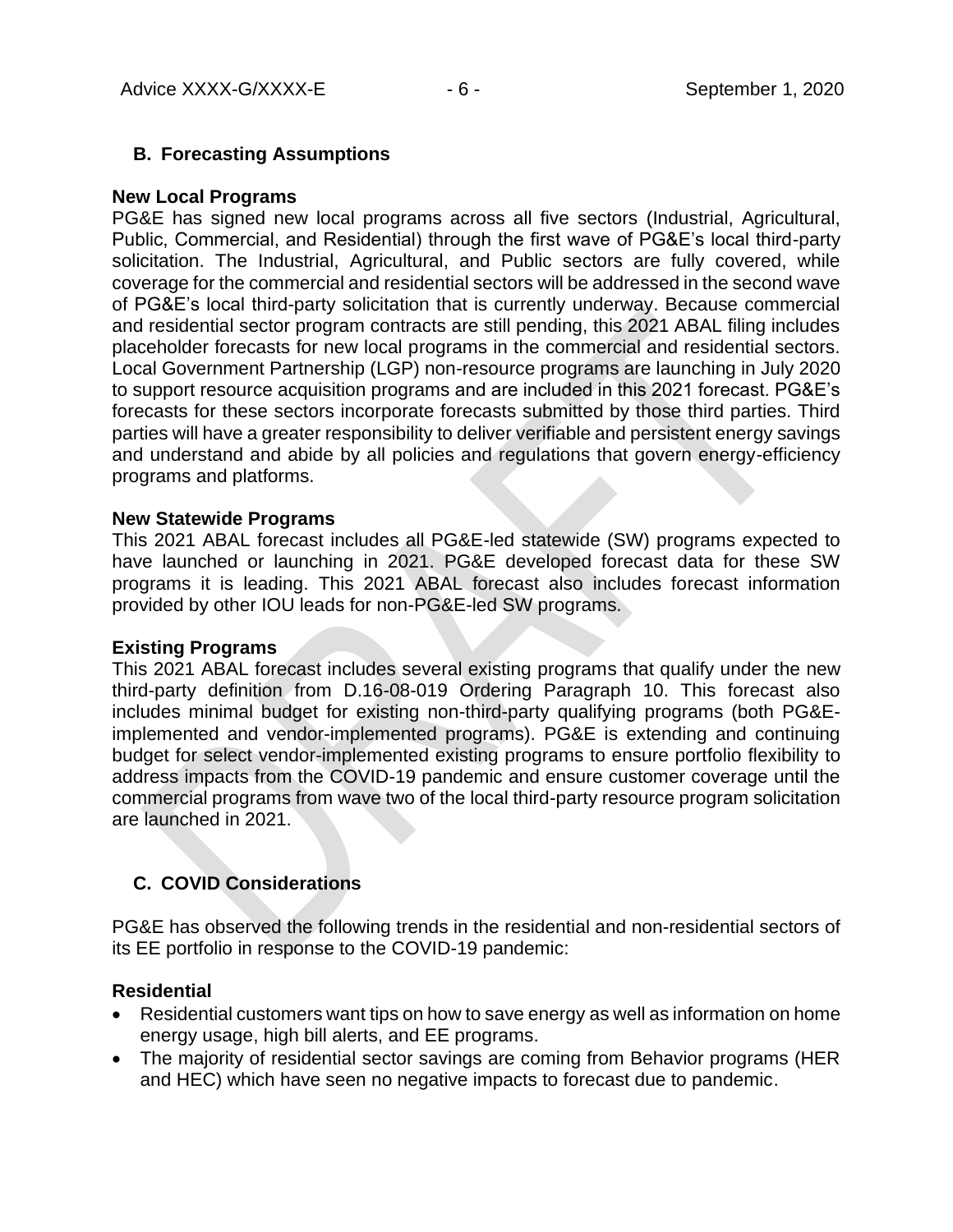### **B. Forecasting Assumptions**

#### **New Local Programs**

PG&E has signed new local programs across all five sectors (Industrial, Agricultural, Public, Commercial, and Residential) through the first wave of PG&E's local third-party solicitation. The Industrial, Agricultural, and Public sectors are fully covered, while coverage for the commercial and residential sectors will be addressed in the second wave of PG&E's local third-party solicitation that is currently underway. Because commercial and residential sector program contracts are still pending, this 2021 ABAL filing includes placeholder forecasts for new local programs in the commercial and residential sectors. Local Government Partnership (LGP) non-resource programs are launching in July 2020 to support resource acquisition programs and are included in this 2021 forecast. PG&E's forecasts for these sectors incorporate forecasts submitted by those third parties. Third parties will have a greater responsibility to deliver verifiable and persistent energy savings and understand and abide by all policies and regulations that govern energy-efficiency programs and platforms.

#### **New Statewide Programs**

This 2021 ABAL forecast includes all PG&E-led statewide (SW) programs expected to have launched or launching in 2021. PG&E developed forecast data for these SW programs it is leading. This 2021 ABAL forecast also includes forecast information provided by other IOU leads for non-PG&E-led SW programs.

#### **Existing Programs**

This 2021 ABAL forecast includes several existing programs that qualify under the new third-party definition from D.16-08-019 Ordering Paragraph 10. This forecast also includes minimal budget for existing non-third-party qualifying programs (both PG&Eimplemented and vendor-implemented programs). PG&E is extending and continuing budget for select vendor-implemented existing programs to ensure portfolio flexibility to address impacts from the COVID-19 pandemic and ensure customer coverage until the commercial programs from wave two of the local third-party resource program solicitation are launched in 2021.

## **C. COVID Considerations**

PG&E has observed the following trends in the residential and non-residential sectors of its EE portfolio in response to the COVID-19 pandemic:

#### **Residential**

- Residential customers want tips on how to save energy as well as information on home energy usage, high bill alerts, and EE programs.
- The majority of residential sector savings are coming from Behavior programs (HER and HEC) which have seen no negative impacts to forecast due to pandemic.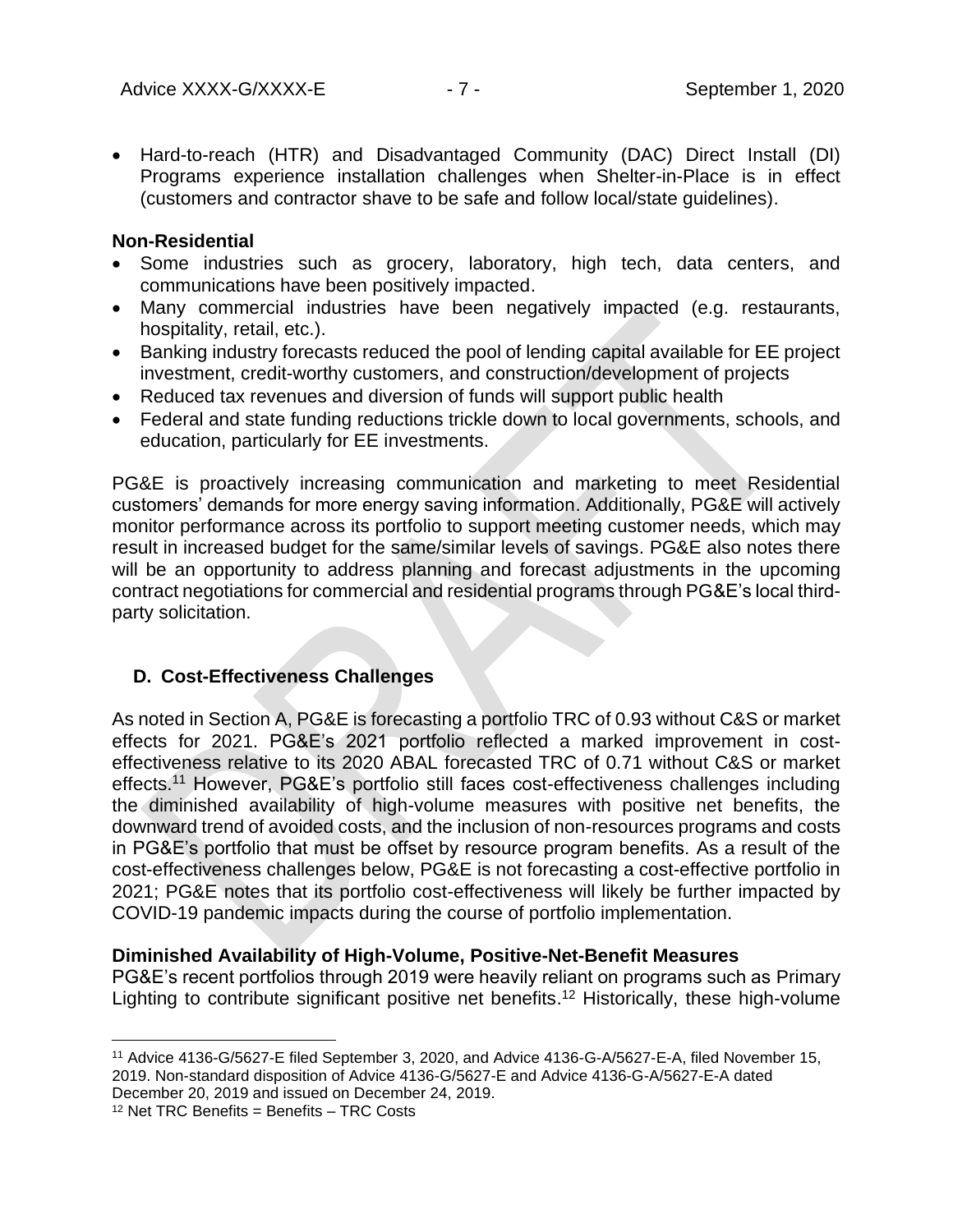• Hard-to-reach (HTR) and Disadvantaged Community (DAC) Direct Install (DI) Programs experience installation challenges when Shelter-in-Place is in effect (customers and contractor shave to be safe and follow local/state guidelines).

#### **Non-Residential**

- Some industries such as grocery, laboratory, high tech, data centers, and communications have been positively impacted.
- Many commercial industries have been negatively impacted (e.g. restaurants, hospitality, retail, etc.).
- Banking industry forecasts reduced the pool of lending capital available for EE project investment, credit-worthy customers, and construction/development of projects
- Reduced tax revenues and diversion of funds will support public health
- Federal and state funding reductions trickle down to local governments, schools, and education, particularly for EE investments.

PG&E is proactively increasing communication and marketing to meet Residential customers' demands for more energy saving information. Additionally, PG&E will actively monitor performance across its portfolio to support meeting customer needs, which may result in increased budget for the same/similar levels of savings. PG&E also notes there will be an opportunity to address planning and forecast adjustments in the upcoming contract negotiations for commercial and residential programs through PG&E's local thirdparty solicitation.

## **D. Cost-Effectiveness Challenges**

As noted in Section A, PG&E is forecasting a portfolio TRC of 0.93 without C&S or market effects for 2021. PG&E's 2021 portfolio reflected a marked improvement in costeffectiveness relative to its 2020 ABAL forecasted TRC of 0.71 without C&S or market effects. <sup>11</sup> However, PG&E's portfolio still faces cost-effectiveness challenges including the diminished availability of high-volume measures with positive net benefits, the downward trend of avoided costs, and the inclusion of non-resources programs and costs in PG&E's portfolio that must be offset by resource program benefits. As a result of the cost-effectiveness challenges below, PG&E is not forecasting a cost-effective portfolio in 2021; PG&E notes that its portfolio cost-effectiveness will likely be further impacted by COVID-19 pandemic impacts during the course of portfolio implementation.

## **Diminished Availability of High-Volume, Positive-Net-Benefit Measures**

PG&E's recent portfolios through 2019 were heavily reliant on programs such as Primary Lighting to contribute significant positive net benefits.<sup>12</sup> Historically, these high-volume

<sup>11</sup> Advice 4136-G/5627-E filed September 3, 2020, and Advice 4136-G-A/5627-E-A, filed November 15, 2019. Non-standard disposition of Advice 4136-G/5627-E and Advice 4136-G-A/5627-E-A dated December 20, 2019 and issued on December 24, 2019.

 $12$  Net TRC Benefits = Benefits - TRC Costs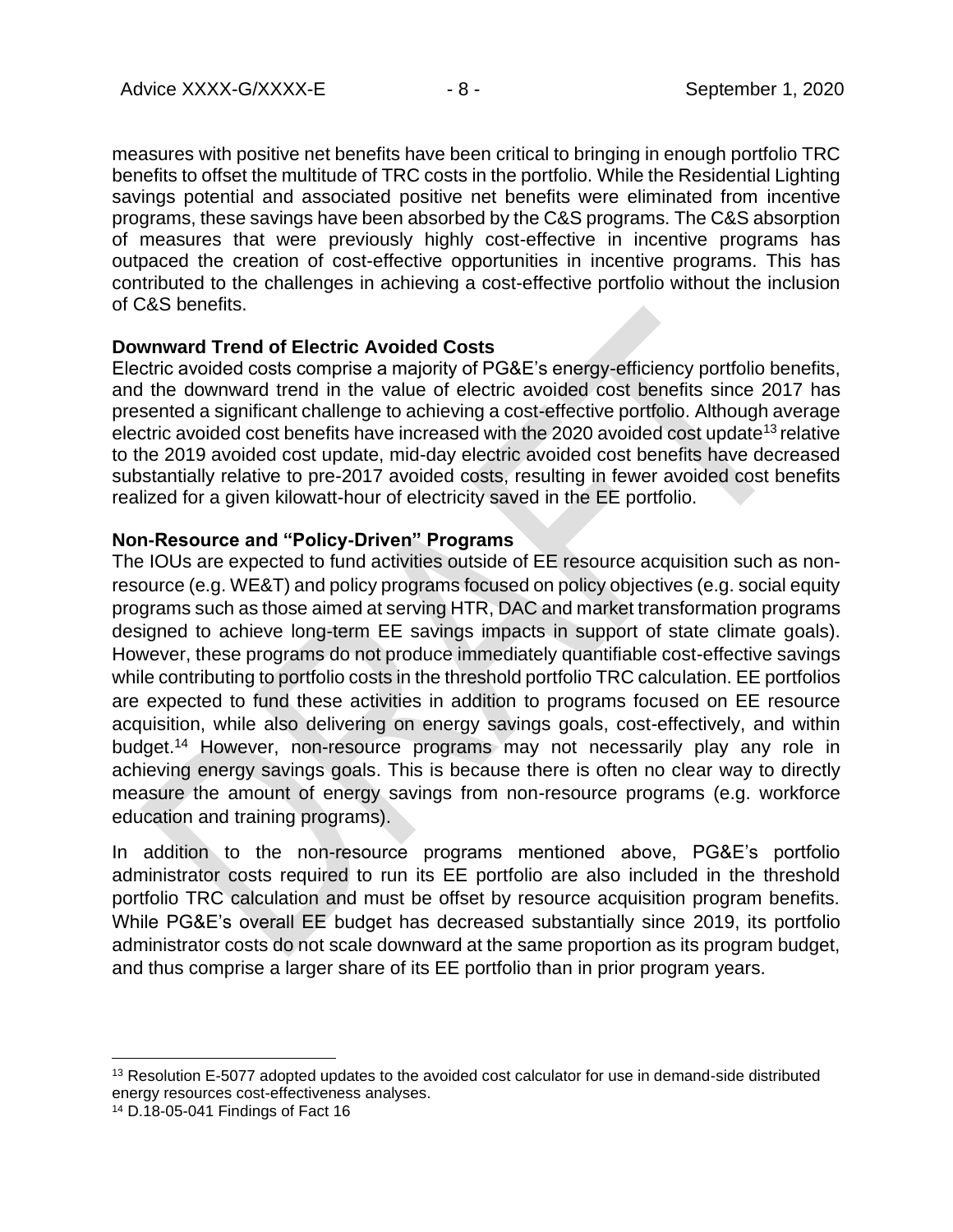measures with positive net benefits have been critical to bringing in enough portfolio TRC benefits to offset the multitude of TRC costs in the portfolio. While the Residential Lighting savings potential and associated positive net benefits were eliminated from incentive programs, these savings have been absorbed by the C&S programs. The C&S absorption of measures that were previously highly cost-effective in incentive programs has outpaced the creation of cost-effective opportunities in incentive programs. This has contributed to the challenges in achieving a cost-effective portfolio without the inclusion of C&S benefits.

### **Downward Trend of Electric Avoided Costs**

Electric avoided costs comprise a majority of PG&E's energy-efficiency portfolio benefits, and the downward trend in the value of electric avoided cost benefits since 2017 has presented a significant challenge to achieving a cost-effective portfolio. Although average electric avoided cost benefits have increased with the 2020 avoided cost update<sup>13</sup> relative to the 2019 avoided cost update, mid-day electric avoided cost benefits have decreased substantially relative to pre-2017 avoided costs, resulting in fewer avoided cost benefits realized for a given kilowatt-hour of electricity saved in the EE portfolio.

### **Non-Resource and "Policy-Driven" Programs**

The IOUs are expected to fund activities outside of EE resource acquisition such as nonresource (e.g. WE&T) and policy programs focused on policy objectives (e.g. social equity programs such as those aimed at serving HTR, DAC and market transformation programs designed to achieve long-term EE savings impacts in support of state climate goals). However, these programs do not produce immediately quantifiable cost-effective savings while contributing to portfolio costs in the threshold portfolio TRC calculation. EE portfolios are expected to fund these activities in addition to programs focused on EE resource acquisition, while also delivering on energy savings goals, cost-effectively, and within budget.<sup>14</sup> However, non-resource programs may not necessarily play any role in achieving energy savings goals. This is because there is often no clear way to directly measure the amount of energy savings from non-resource programs (e.g. workforce education and training programs).

In addition to the non-resource programs mentioned above, PG&E's portfolio administrator costs required to run its EE portfolio are also included in the threshold portfolio TRC calculation and must be offset by resource acquisition program benefits. While PG&E's overall EE budget has decreased substantially since 2019, its portfolio administrator costs do not scale downward at the same proportion as its program budget, and thus comprise a larger share of its EE portfolio than in prior program years.

<sup>&</sup>lt;sup>13</sup> Resolution E-5077 adopted updates to the avoided cost calculator for use in demand-side distributed energy resources cost-effectiveness analyses.

<sup>14</sup> D.18-05-041 Findings of Fact 16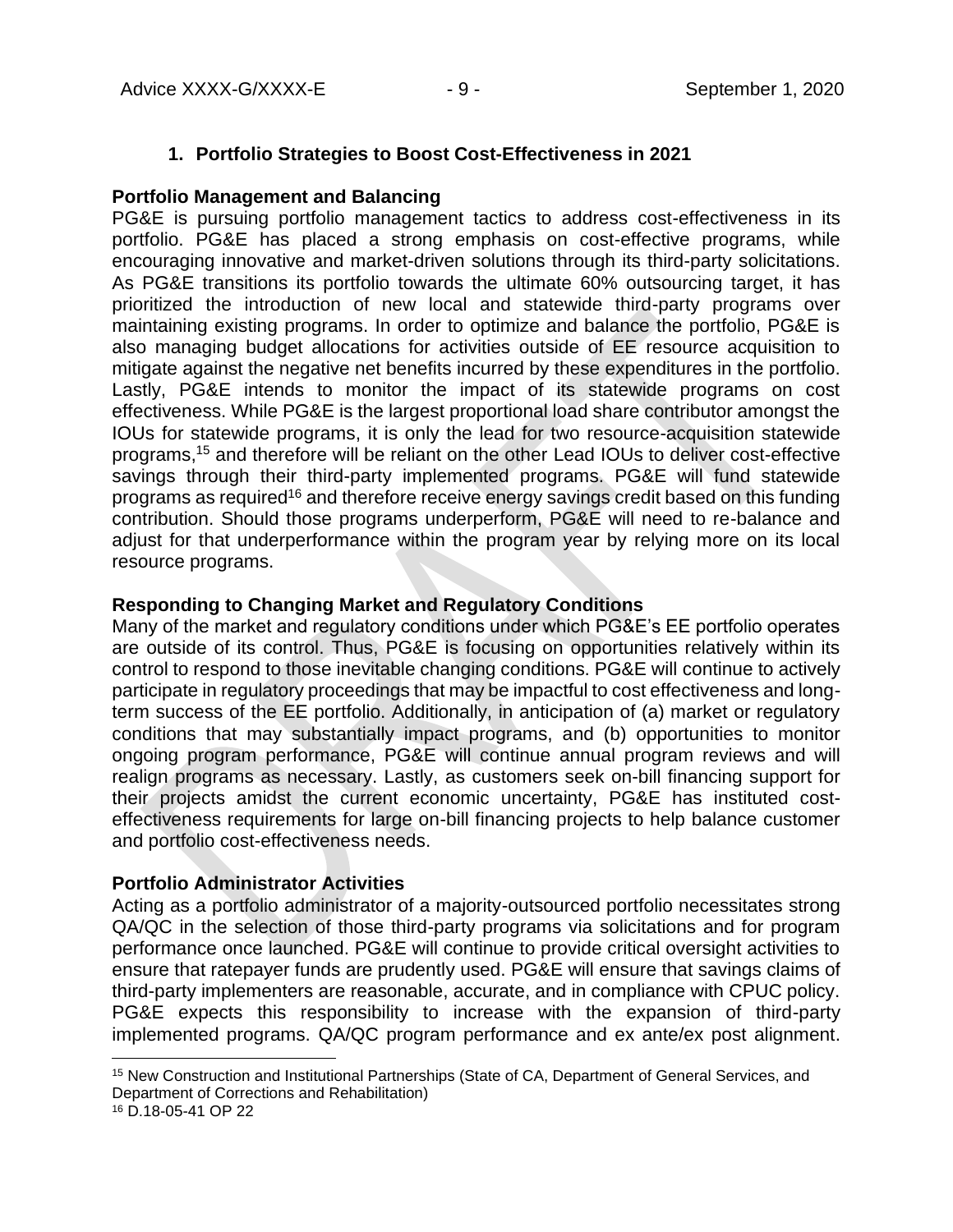### **1. Portfolio Strategies to Boost Cost-Effectiveness in 2021**

### **Portfolio Management and Balancing**

PG&E is pursuing portfolio management tactics to address cost-effectiveness in its portfolio. PG&E has placed a strong emphasis on cost-effective programs, while encouraging innovative and market-driven solutions through its third-party solicitations. As PG&E transitions its portfolio towards the ultimate 60% outsourcing target, it has prioritized the introduction of new local and statewide third-party programs over maintaining existing programs. In order to optimize and balance the portfolio, PG&E is also managing budget allocations for activities outside of EE resource acquisition to mitigate against the negative net benefits incurred by these expenditures in the portfolio. Lastly, PG&E intends to monitor the impact of its statewide programs on cost effectiveness. While PG&E is the largest proportional load share contributor amongst the IOUs for statewide programs, it is only the lead for two resource-acquisition statewide programs, <sup>15</sup> and therefore will be reliant on the other Lead IOUs to deliver cost-effective savings through their third-party implemented programs. PG&E will fund statewide programs as required<sup>16</sup> and therefore receive energy savings credit based on this funding contribution. Should those programs underperform, PG&E will need to re-balance and adjust for that underperformance within the program year by relying more on its local resource programs.

### **Responding to Changing Market and Regulatory Conditions**

Many of the market and regulatory conditions under which PG&E's EE portfolio operates are outside of its control. Thus, PG&E is focusing on opportunities relatively within its control to respond to those inevitable changing conditions. PG&E will continue to actively participate in regulatory proceedings that may be impactful to cost effectiveness and longterm success of the EE portfolio. Additionally, in anticipation of (a) market or regulatory conditions that may substantially impact programs, and (b) opportunities to monitor ongoing program performance, PG&E will continue annual program reviews and will realign programs as necessary. Lastly, as customers seek on-bill financing support for their projects amidst the current economic uncertainty, PG&E has instituted costeffectiveness requirements for large on-bill financing projects to help balance customer and portfolio cost-effectiveness needs.

#### **Portfolio Administrator Activities**

Acting as a portfolio administrator of a majority-outsourced portfolio necessitates strong QA/QC in the selection of those third-party programs via solicitations and for program performance once launched. PG&E will continue to provide critical oversight activities to ensure that ratepayer funds are prudently used. PG&E will ensure that savings claims of third-party implementers are reasonable, accurate, and in compliance with CPUC policy. PG&E expects this responsibility to increase with the expansion of third-party implemented programs. QA/QC program performance and ex ante/ex post alignment.

<sup>15</sup> New Construction and Institutional Partnerships (State of CA, Department of General Services, and Department of Corrections and Rehabilitation)

<sup>16</sup> D.18-05-41 OP 22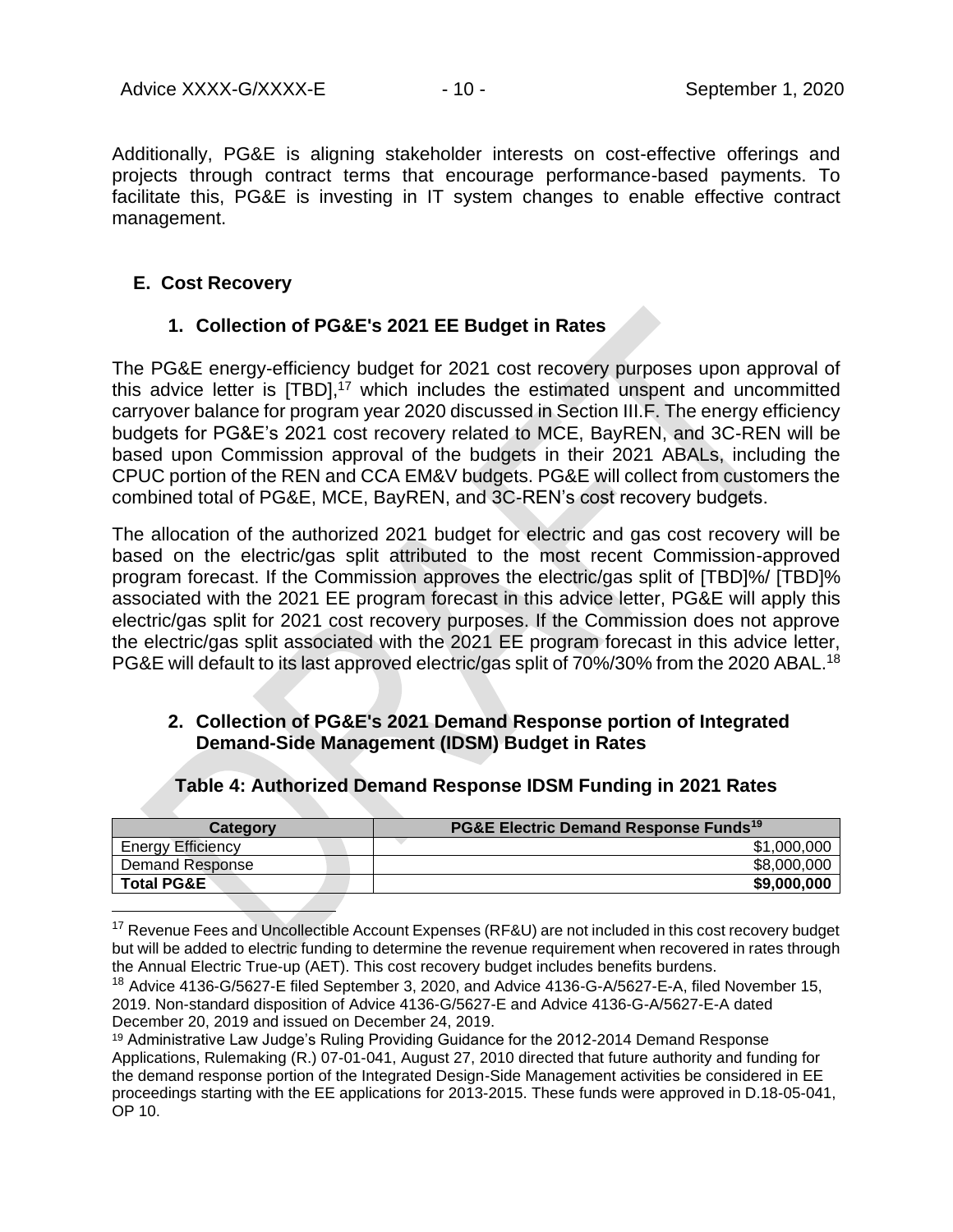Additionally, PG&E is aligning stakeholder interests on cost-effective offerings and projects through contract terms that encourage performance-based payments. To facilitate this, PG&E is investing in IT system changes to enable effective contract management.

### **E. Cost Recovery**

## **1. Collection of PG&E's 2021 EE Budget in Rates**

The PG&E energy-efficiency budget for 2021 cost recovery purposes upon approval of this advice letter is [TBD],<sup>17</sup> which includes the estimated unspent and uncommitted carryover balance for program year 2020 discussed in Section III.F. The energy efficiency budgets for PG&E's 2021 cost recovery related to MCE, BayREN, and 3C-REN will be based upon Commission approval of the budgets in their 2021 ABALs, including the CPUC portion of the REN and CCA EM&V budgets. PG&E will collect from customers the combined total of PG&E, MCE, BayREN, and 3C-REN's cost recovery budgets.

The allocation of the authorized 2021 budget for electric and gas cost recovery will be based on the electric/gas split attributed to the most recent Commission-approved program forecast. If the Commission approves the electric/gas split of [TBD]%/ [TBD]% associated with the 2021 EE program forecast in this advice letter, PG&E will apply this electric/gas split for 2021 cost recovery purposes. If the Commission does not approve the electric/gas split associated with the 2021 EE program forecast in this advice letter, PG&E will default to its last approved electric/gas split of 70%/30% from the 2020 ABAL.<sup>18</sup>

## **2. Collection of PG&E's 2021 Demand Response portion of Integrated Demand-Side Management (IDSM) Budget in Rates**

| Category                 | PG&E Electric Demand Response Funds <sup>19</sup> |  |  |  |
|--------------------------|---------------------------------------------------|--|--|--|
| <b>Energy Efficiency</b> | \$1,000,000                                       |  |  |  |
| Demand Response          | \$8,000,000                                       |  |  |  |
| <b>Total PG&amp;E</b>    | \$9,000,000                                       |  |  |  |

#### **Table 4: Authorized Demand Response IDSM Funding in 2021 Rates**

<sup>17</sup> Revenue Fees and Uncollectible Account Expenses (RF&U) are not included in this cost recovery budget but will be added to electric funding to determine the revenue requirement when recovered in rates through the Annual Electric True-up (AET). This cost recovery budget includes benefits burdens.

<sup>19</sup> Administrative Law Judge's Ruling Providing Guidance for the 2012-2014 Demand Response Applications, Rulemaking (R.) 07-01-041, August 27, 2010 directed that future authority and funding for the demand response portion of the Integrated Design-Side Management activities be considered in EE proceedings starting with the EE applications for 2013-2015. These funds were approved in D.18-05-041, OP 10.

<sup>&</sup>lt;sup>18</sup> Advice 4136-G/5627-E filed September 3, 2020, and Advice 4136-G-A/5627-E-A, filed November 15, 2019. Non-standard disposition of Advice 4136-G/5627-E and Advice 4136-G-A/5627-E-A dated December 20, 2019 and issued on December 24, 2019.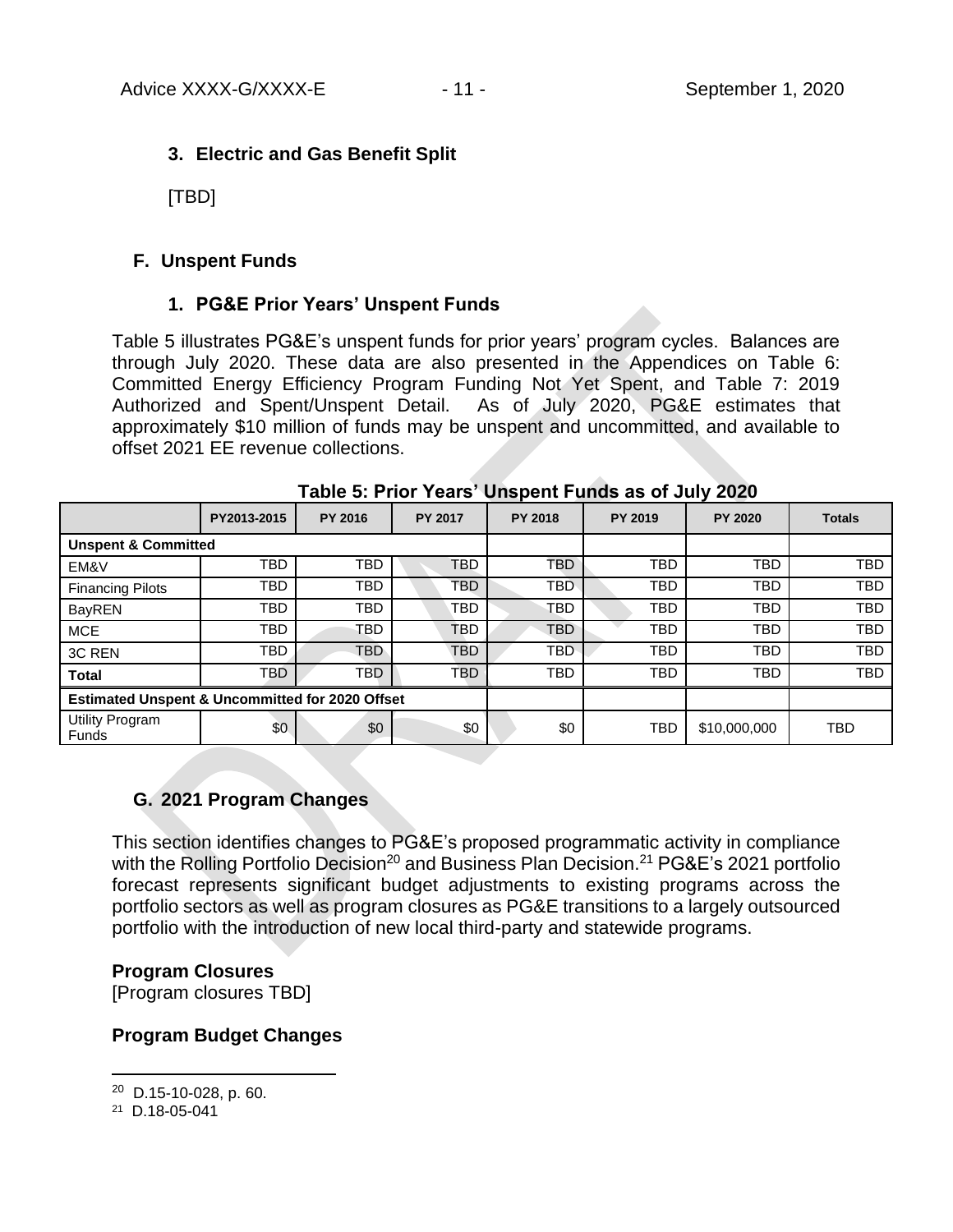## **3. Electric and Gas Benefit Split**

[TBD]

## **F. Unspent Funds**

## **1. PG&E Prior Years' Unspent Funds**

Table 5 illustrates PG&E's unspent funds for prior years' program cycles. Balances are through July 2020. These data are also presented in the Appendices on Table 6: Committed Energy Efficiency Program Funding Not Yet Spent, and Table 7: 2019 Authorized and Spent/Unspent Detail. As of July 2020, PG&E estimates that approximately \$10 million of funds may be unspent and uncommitted, and available to offset 2021 EE revenue collections.

|                                                 | PY2013-2015 | <b>PY 2016</b> | <b>PY 2017</b> | <b>PY 2018</b> | <b>PY 2019</b> | <b>PY 2020</b> | <b>Totals</b> |
|-------------------------------------------------|-------------|----------------|----------------|----------------|----------------|----------------|---------------|
| <b>Unspent &amp; Committed</b>                  |             |                |                |                |                |                |               |
| EM&V                                            | <b>TBD</b>  | <b>TBD</b>     | <b>TBD</b>     | <b>TBD</b>     | <b>TBD</b>     | <b>TBD</b>     | <b>TBD</b>    |
| <b>Financing Pilots</b>                         | TBD         | TBD            | TBD            | <b>TBD</b>     | <b>TBD</b>     | <b>TBD</b>     | <b>TBD</b>    |
| <b>BayREN</b>                                   | TBD         | TBD            | TBD            | TBD            | <b>TBD</b>     | <b>TBD</b>     | <b>TBD</b>    |
| <b>MCE</b>                                      | TBD         | <b>TBD</b>     | <b>TBD</b>     | <b>TBD</b>     | <b>TBD</b>     | <b>TBD</b>     | <b>TBD</b>    |
| 3C REN                                          | <b>TBD</b>  | <b>TBD</b>     | <b>TBD</b>     | <b>TBD</b>     | <b>TBD</b>     | <b>TBD</b>     | <b>TBD</b>    |
| <b>Total</b>                                    | <b>TBD</b>  | TBD.           | TBD.           | <b>TBD</b>     | <b>TBD</b>     | <b>TBD</b>     | <b>TBD</b>    |
| Estimated Unspent & Uncommitted for 2020 Offset |             |                |                |                |                |                |               |
| Utility Program<br>Funds                        | \$0         | \$0            | \$0            | \$0            | <b>TBD</b>     | \$10,000,000   | <b>TBD</b>    |

## **Table 5: Prior Years' Unspent Funds as of July 2020**

# **G. 2021 Program Changes**

This section identifies changes to PG&E's proposed programmatic activity in compliance with the Rolling Portfolio Decision<sup>20</sup> and Business Plan Decision.<sup>21</sup> PG&E's 2021 portfolio forecast represents significant budget adjustments to existing programs across the portfolio sectors as well as program closures as PG&E transitions to a largely outsourced portfolio with the introduction of new local third-party and statewide programs.

## **Program Closures**

[Program closures TBD]

## **Program Budget Changes**

 $20$  D.15-10-028, p. 60.

<sup>21</sup> D.18-05-041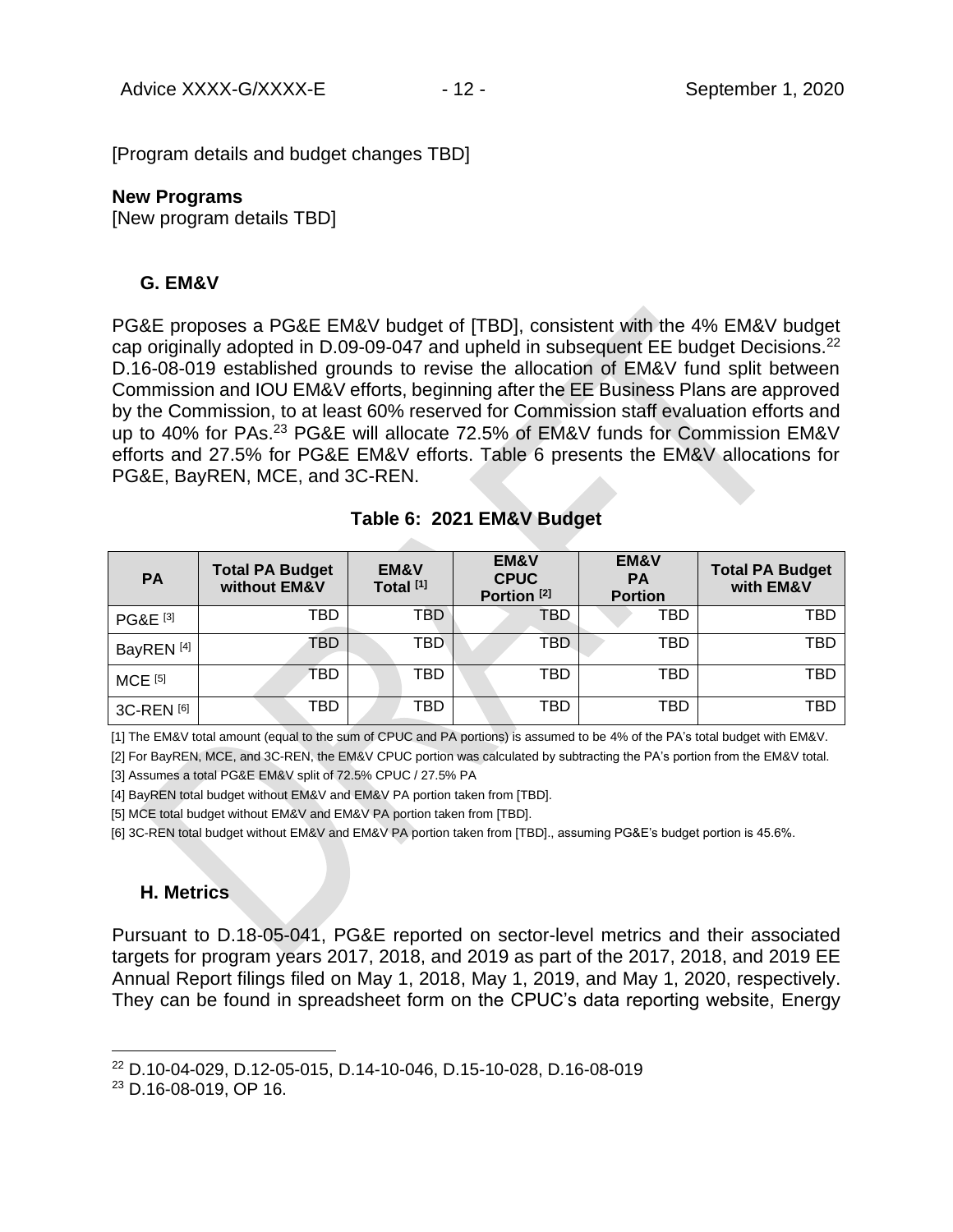[Program details and budget changes TBD]

#### **New Programs**

[New program details TBD]

### **G. EM&V**

PG&E proposes a PG&E EM&V budget of [TBD], consistent with the 4% EM&V budget cap originally adopted in D.09-09-047 and upheld in subsequent EE budget Decisions.<sup>22</sup> D.16-08-019 established grounds to revise the allocation of EM&V fund split between Commission and IOU EM&V efforts, beginning after the EE Business Plans are approved by the Commission, to at least 60% reserved for Commission staff evaluation efforts and up to 40% for PAs.<sup>23</sup> PG&E will allocate 72.5% of EM&V funds for Commission EM&V efforts and 27.5% for PG&E EM&V efforts. Table 6 presents the EM&V allocations for PG&E, BayREN, MCE, and 3C-REN.

| <b>PA</b>             | <b>Total PA Budget</b><br>without EM&V | <b>EM&amp;V</b><br>Total <sup>[1]</sup> | <b>EM&amp;V</b><br><b>CPUC</b><br>Portion <sup>[2]</sup> | <b>EM&amp;V</b><br><b>PA</b><br><b>Portion</b> | <b>Total PA Budget</b><br>with EM&V |
|-----------------------|----------------------------------------|-----------------------------------------|----------------------------------------------------------|------------------------------------------------|-------------------------------------|
| PG&E <sup>[3]</sup>   | TBD                                    | TBD                                     | TBD                                                      | TBD                                            | TBD                                 |
| BayREN <sup>[4]</sup> | TBD                                    | TBD                                     | TBD                                                      | TBD                                            | TBD                                 |
| <b>MCE</b> [5]        | TBD                                    | TBD                                     | TBD                                                      | TBD                                            | TBD                                 |
| 3C-REN [6]            | TBD                                    | TBD                                     | TBD                                                      | TBD                                            | TBD                                 |

#### **Table 6: 2021 EM&V Budget**

[1] The EM&V total amount (equal to the sum of CPUC and PA portions) is assumed to be 4% of the PA's total budget with EM&V.

[2] For BayREN, MCE, and 3C-REN, the EM&V CPUC portion was calculated by subtracting the PA's portion from the EM&V total.

[3] Assumes a total PG&E EM&V split of 72.5% CPUC / 27.5% PA

[4] BayREN total budget without EM&V and EM&V PA portion taken from [TBD].

[5] MCE total budget without EM&V and EM&V PA portion taken from [TBD].

[6] 3C-REN total budget without EM&V and EM&V PA portion taken from [TBD]., assuming PG&E's budget portion is 45.6%.

## **H. Metrics**

Pursuant to D.18-05-041, PG&E reported on sector-level metrics and their associated targets for program years 2017, 2018, and 2019 as part of the 2017, 2018, and 2019 EE Annual Report filings filed on May 1, 2018, May 1, 2019, and May 1, 2020, respectively. They can be found in spreadsheet form on the CPUC's data reporting website, Energy

<sup>22</sup> D.10-04-029, D.12-05-015, D.14-10-046, D.15-10-028, D.16-08-019

<sup>23</sup> D.16-08-019, OP 16.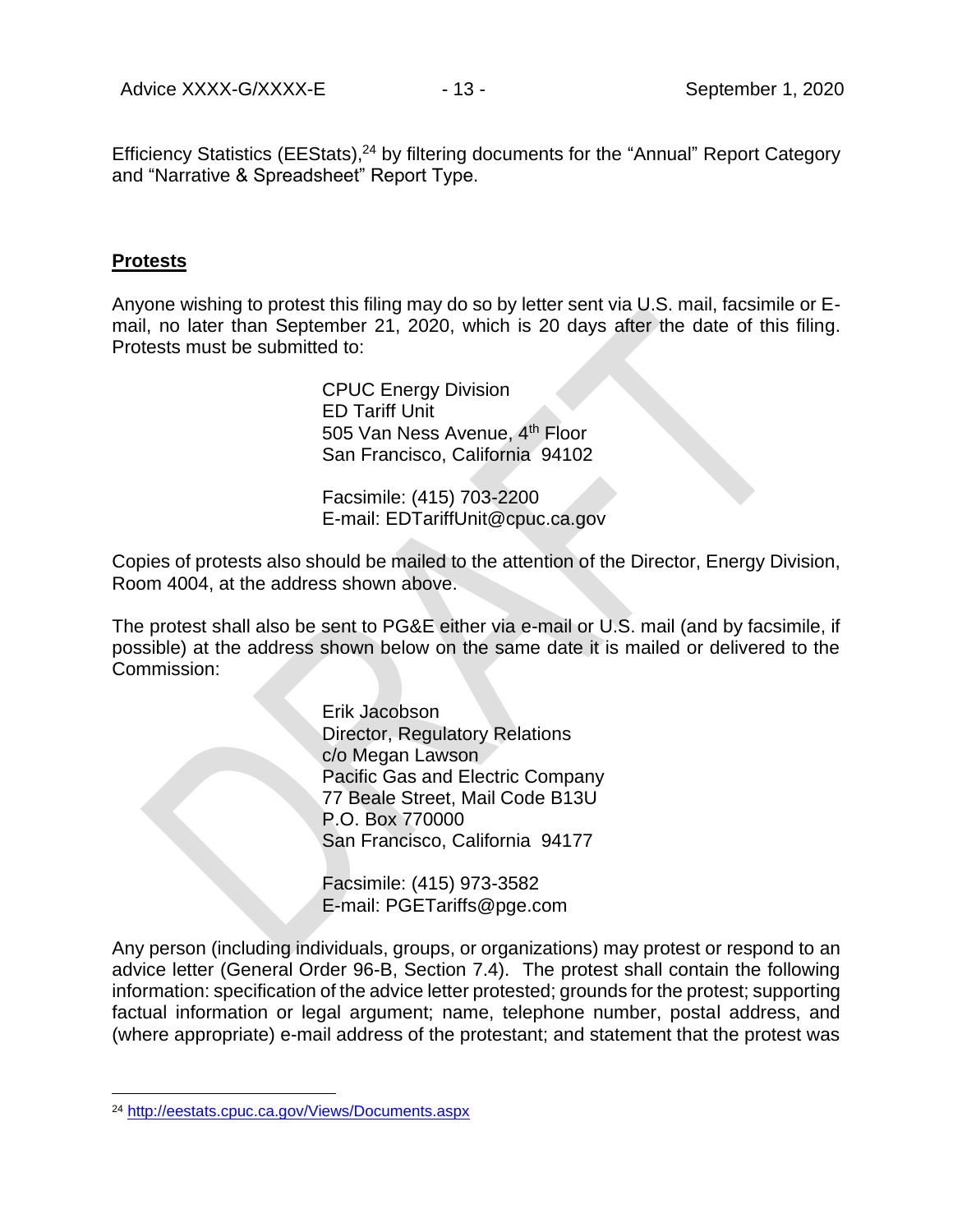Efficiency Statistics (EEStats),<sup>24</sup> by filtering documents for the "Annual" Report Category and "Narrative & Spreadsheet" Report Type.

#### **Protests**

Anyone wishing to protest this filing may do so by letter sent via U.S. mail, facsimile or Email, no later than September 21, 2020, which is 20 days after the date of this filing. Protests must be submitted to:

> CPUC Energy Division ED Tariff Unit 505 Van Ness Avenue, 4<sup>th</sup> Floor San Francisco, California 94102

Facsimile: (415) 703-2200 E-mail: EDTariffUnit@cpuc.ca.gov

Copies of protests also should be mailed to the attention of the Director, Energy Division, Room 4004, at the address shown above.

The protest shall also be sent to PG&E either via e-mail or U.S. mail (and by facsimile, if possible) at the address shown below on the same date it is mailed or delivered to the Commission:

> Erik Jacobson Director, Regulatory Relations c/o Megan Lawson Pacific Gas and Electric Company 77 Beale Street, Mail Code B13U P.O. Box 770000 San Francisco, California 94177

Facsimile: (415) 973-3582 E-mail: PGETariffs@pge.com

Any person (including individuals, groups, or organizations) may protest or respond to an advice letter (General Order 96-B, Section 7.4). The protest shall contain the following information: specification of the advice letter protested; grounds for the protest; supporting factual information or legal argument; name, telephone number, postal address, and (where appropriate) e-mail address of the protestant; and statement that the protest was

<sup>24</sup> <http://eestats.cpuc.ca.gov/Views/Documents.aspx>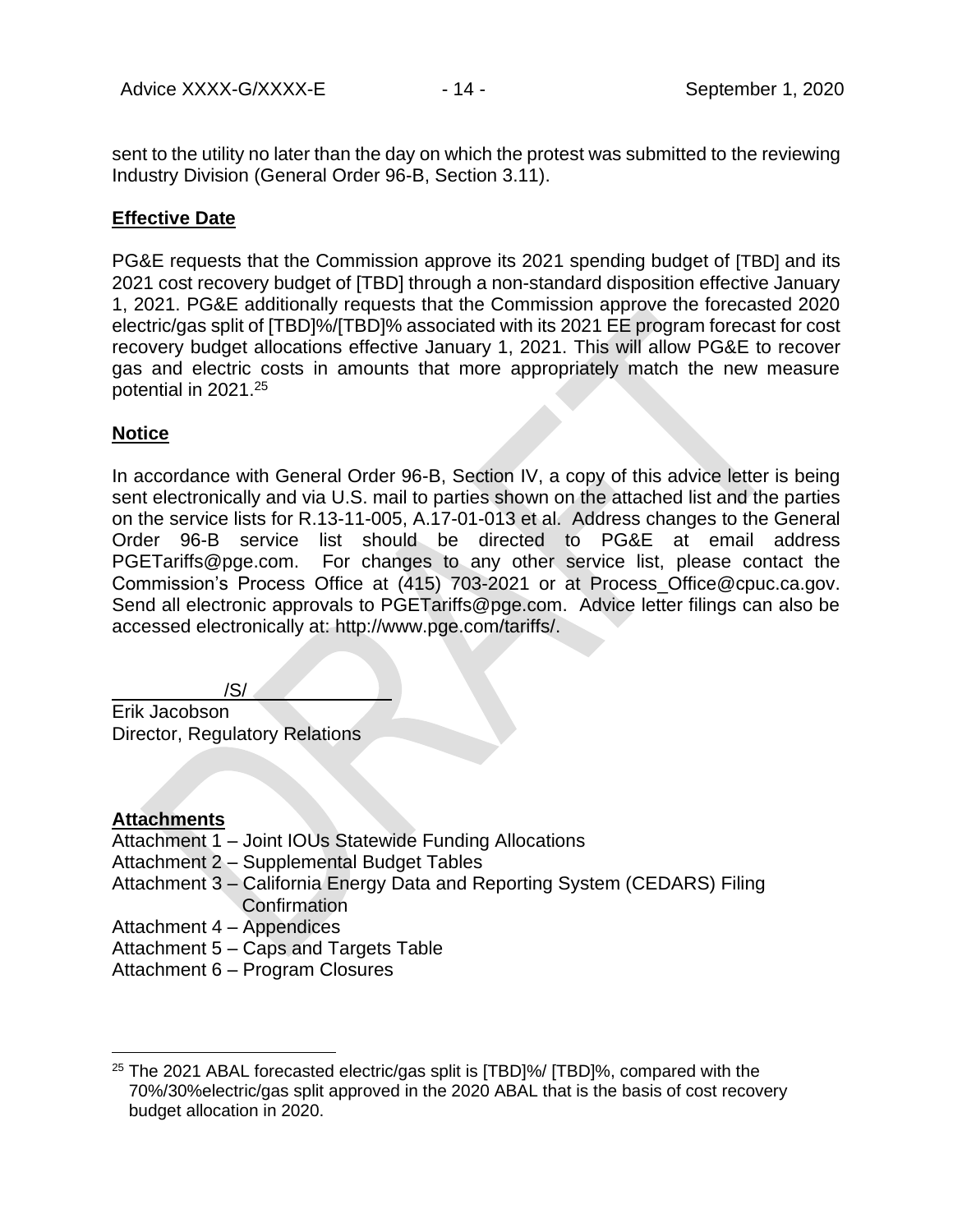sent to the utility no later than the day on which the protest was submitted to the reviewing Industry Division (General Order 96-B, Section 3.11).

### **Effective Date**

PG&E requests that the Commission approve its 2021 spending budget of [TBD] and its 2021 cost recovery budget of [TBD] through a non-standard disposition effective January 1, 2021. PG&E additionally requests that the Commission approve the forecasted 2020 electric/gas split of [TBD]%/[TBD]% associated with its 2021 EE program forecast for cost recovery budget allocations effective January 1, 2021. This will allow PG&E to recover gas and electric costs in amounts that more appropriately match the new measure potential in 2021. 25

### **Notice**

In accordance with General Order 96-B, Section IV, a copy of this advice letter is being sent electronically and via U.S. mail to parties shown on the attached list and the parties on the service lists for R.13-11-005, A.17-01-013 et al. Address changes to the General Order 96-B service list should be directed to PG&E at email address PGETariffs@pge.com. For changes to any other service list, please contact the Commission's Process Office at (415) 703-2021 or at Process\_Office@cpuc.ca.gov. Send all electronic approvals to PGETariffs@pge.com. Advice letter filings can also be accessed electronically at: http://www.pge.com/tariffs/.

/S/

Erik Jacobson Director, Regulatory Relations

## **Attachments**

- Attachment 1 Joint IOUs Statewide Funding Allocations
- Attachment 2 Supplemental Budget Tables
- Attachment 3 California Energy Data and Reporting System (CEDARS) Filing **Confirmation**
- Attachment 4 Appendices
- Attachment 5 Caps and Targets Table
- Attachment 6 Program Closures

 $25$  The 2021 ABAL forecasted electric/gas split is  $[TBD]\%$  (TBD)%, compared with the 70%/30%electric/gas split approved in the 2020 ABAL that is the basis of cost recovery budget allocation in 2020.